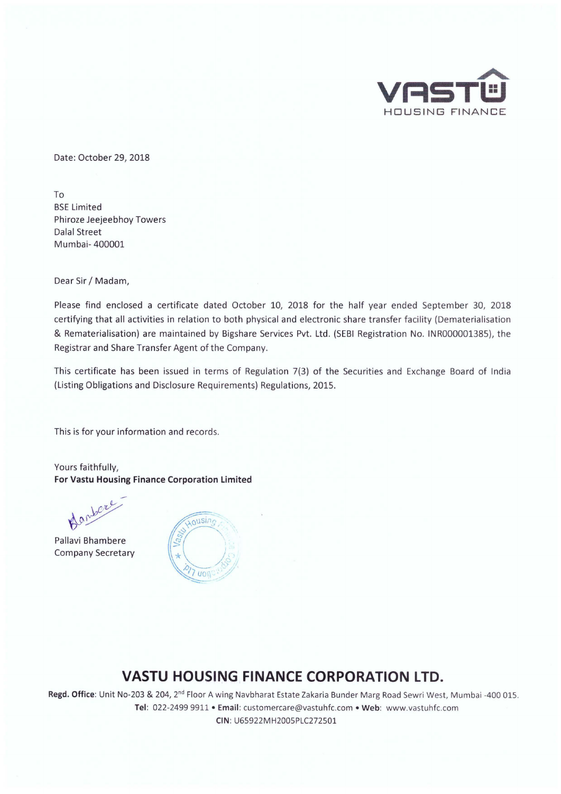

Date: October 29, 2018

To BSE Limited Phiroze Jeejeebhoy Towers Dalal Street Mumbai- 400001

Dear Sir/ Madam,

Please find enclosed a certificate dated October 10, 2018 for the half year ended September 30, 2018 certifying that all activities in relation to both physical and electronic share transfer facility (Dematerialisation & Rematerialisation) are maintained by Bigshare Services Pvt. Ltd. (SEBI Registration No. IN R000001385), the Registrar and Share Transfer Agent of the Company.

This certificate has been issued in terms of Regulation 7(3) of the Securities and Exchange Board of India (Listing Obligations and Disclosure Requirements) Regulations, 2015.

This is for your information and records.

Yours faithfully, **For Vastu Housing Finance Corporation Limited** 

Danbere

Pallavi Bhambere Company Secretary



## **VASTU HOUSING FINANCE CORPORATION LTD.**

**Regd. Office:** Unit No-203 & 204, 2nd Floor A wing Navbharat Estate Zakaria Bunder Marg Road Sewri West, Mumbai -400 015. Tel: 022-2499 9911 • Email: customercare@vastuhfc.com • Web: www.vastuhfc.com **CIN:** U65922MH2005PLC272501